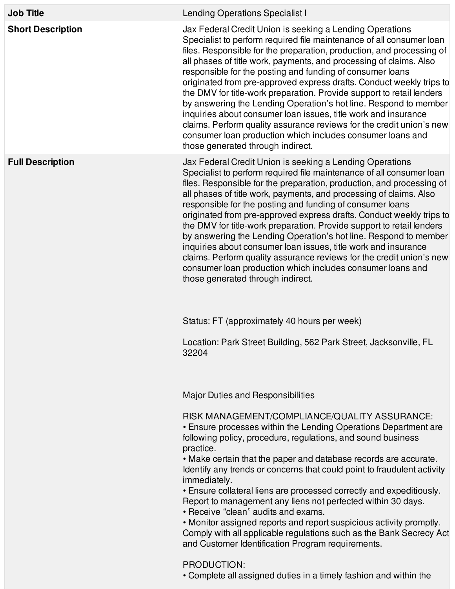| <b>Job Title</b>         | Lending Operations Specialist I                                                                                                                                                                                                                                                                                                                                                                                                                                                                                                                                                                                                                                                                                                                                                                                                                                                                                                              |
|--------------------------|----------------------------------------------------------------------------------------------------------------------------------------------------------------------------------------------------------------------------------------------------------------------------------------------------------------------------------------------------------------------------------------------------------------------------------------------------------------------------------------------------------------------------------------------------------------------------------------------------------------------------------------------------------------------------------------------------------------------------------------------------------------------------------------------------------------------------------------------------------------------------------------------------------------------------------------------|
| <b>Short Description</b> | Jax Federal Credit Union is seeking a Lending Operations<br>Specialist to perform required file maintenance of all consumer loan<br>files. Responsible for the preparation, production, and processing of<br>all phases of title work, payments, and processing of claims. Also<br>responsible for the posting and funding of consumer loans<br>originated from pre-approved express drafts. Conduct weekly trips to<br>the DMV for title-work preparation. Provide support to retail lenders<br>by answering the Lending Operation's hot line. Respond to member<br>inquiries about consumer loan issues, title work and insurance<br>claims. Perform quality assurance reviews for the credit union's new<br>consumer loan production which includes consumer loans and<br>those generated through indirect.                                                                                                                               |
| <b>Full Description</b>  | Jax Federal Credit Union is seeking a Lending Operations<br>Specialist to perform required file maintenance of all consumer loan<br>files. Responsible for the preparation, production, and processing of<br>all phases of title work, payments, and processing of claims. Also<br>responsible for the posting and funding of consumer loans<br>originated from pre-approved express drafts. Conduct weekly trips to<br>the DMV for title-work preparation. Provide support to retail lenders<br>by answering the Lending Operation's hot line. Respond to member<br>inquiries about consumer loan issues, title work and insurance<br>claims. Perform quality assurance reviews for the credit union's new<br>consumer loan production which includes consumer loans and<br>those generated through indirect.<br>Status: FT (approximately 40 hours per week)<br>Location: Park Street Building, 562 Park Street, Jacksonville, FL<br>32204 |
|                          | <b>Major Duties and Responsibilities</b><br>RISK MANAGEMENT/COMPLIANCE/QUALITY ASSURANCE:<br>• Ensure processes within the Lending Operations Department are<br>following policy, procedure, regulations, and sound business<br>practice.<br>• Make certain that the paper and database records are accurate.<br>Identify any trends or concerns that could point to fraudulent activity<br>immediately.<br>• Ensure collateral liens are processed correctly and expeditiously.<br>Report to management any liens not perfected within 30 days.<br>• Receive "clean" audits and exams.<br>• Monitor assigned reports and report suspicious activity promptly.<br>Comply with all applicable regulations such as the Bank Secrecy Act<br>and Customer Identification Program requirements.<br>PRODUCTION:<br>• Complete all assigned duties in a timely fashion and within the                                                               |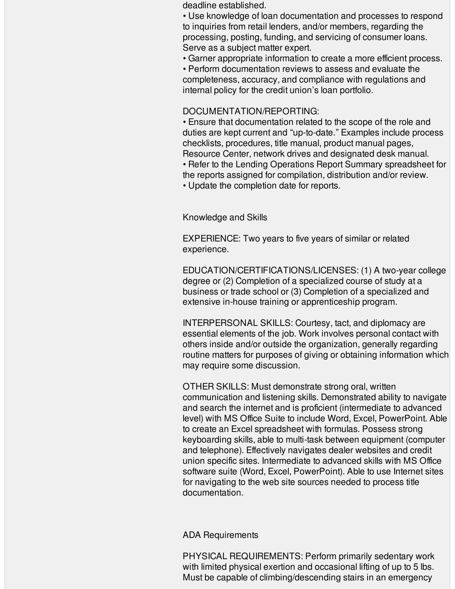deadline established.

• Use knowledge of loan documentation and processes to respond to inquiries from retail lenders, and/or members, regarding the processing, posting, funding, and servicing of consumer loans. Serve as a subject matter expert.

• Garner appropriate information to create a more efficient process.

• Perform documentation reviews to assess and evaluate the completeness, accuracy, and compliance with regulations and internal policy for the credit union's loan portfolio.

## DOCUMENTATION/REPORTING:

• Ensure that documentation related to the scope of the role and duties are kept current and "up-to-date." Examples include process checklists, procedures, title manual, product manual pages, Resource Center, network drives and designated desk manual. • Refer to the Lending Operations Report Summary spreadsheet for the reports assigned for compilation, distribution and/or review.

• Update the completion date for reports.

Knowledge and Skills

EXPERIENCE: Two years to five years of similar or related experience.

EDUCATION/CERTIFICATIONS/LICENSES: (1) A two-year college degree or (2) Completion of a specialized course of study at a business or trade school or (3) Completion of a specialized and extensive in-house training or apprenticeship program.

INTERPERSONAL SKILLS: Courtesy, tact, and diplomacy are essential elements of the job. Work involves personal contact with others inside and/or outside the organization, generally regarding routine matters for purposes of giving or obtaining information which may require some discussion.

OTHER SKILLS: Must demonstrate strong oral, written communication and listening skills. Demonstrated ability to navigate and search the internet and is proficient (intermediate to advanced level) with MS Office Suite to include Word, Excel, PowerPoint. Able to create an Excel spreadsheet with formulas. Possess strong keyboarding skills, able to multi-task between equipment (computer and telephone). Effectively navigates dealer websites and credit union specific sites. Intermediate to advanced skills with MS Office software suite (Word, Excel, PowerPoint). Able to use Internet sites for navigating to the web site sources needed to process title documentation.

## ADA Requirements

PHYSICAL REQUIREMENTS: Perform primarily sedentary work with limited physical exertion and occasional lifting of up to 5 lbs. Must be capable of climbing/descending stairs in an emergency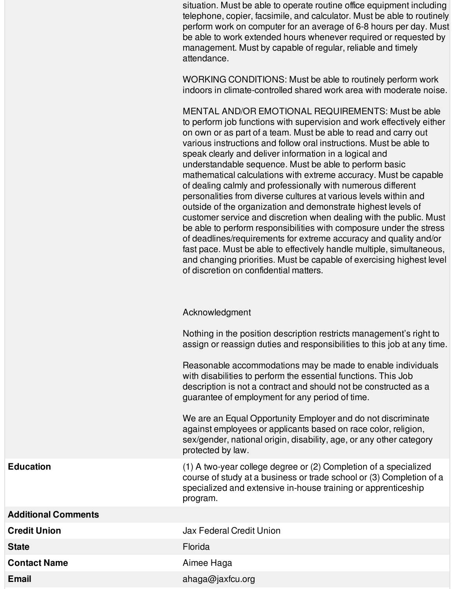situation. Must be able to operate routine office equipment including telephone, copier, facsimile, and calculator. Must be able to routinely perform work on computer for an average of 6-8 hours per day. Must be able to work extended hours whenever required or requested by management. Must by capable of regular, reliable and timely attendance.

WORKING CONDITIONS: Must be able to routinely perform work indoors in climate-controlled shared work area with moderate noise.

MENTAL AND/OR EMOTIONAL REQUIREMENTS: Must be able to perform job functions with supervision and work effectively either on own or as part of a team. Must be able to read and carry out various instructions and follow oral instructions. Must be able to speak clearly and deliver information in a logical and understandable sequence. Must be able to perform basic mathematical calculations with extreme accuracy. Must be capable of dealing calmly and professionally with numerous different personalities from diverse cultures at various levels within and outside of the organization and demonstrate highest levels of customer service and discretion when dealing with the public. Must be able to perform responsibilities with composure under the stress of deadlines/requirements for extreme accuracy and quality and/or fast pace. Must be able to effectively handle multiple, simultaneous, and changing priorities. Must be capable of exercising highest level of discretion on confidential matters.

## Acknowledgment

Nothing in the position description restricts management's right to assign or reassign duties and responsibilities to this job at any time.

Reasonable accommodations may be made to enable individuals with disabilities to perform the essential functions. This Job description is not a contract and should not be constructed as a guarantee of employment for any period of time.

We are an Equal Opportunity Employer and do not discriminate against employees or applicants based on race color, religion, sex/gender, national origin, disability, age, or any other category protected by law.

**Education** (1) A two-year college degree or (2) Completion of a specialized course of study at a business or trade school or (3) Completion of a specialized and extensive in-house training or apprenticeship program.

**Additional Comments**

**Contact Name Aimee Haga** 

**Credit Union** Jax Federal Credit Union

**State** Florida **Florida** 

**Email** ahaga@jaxfcu.org